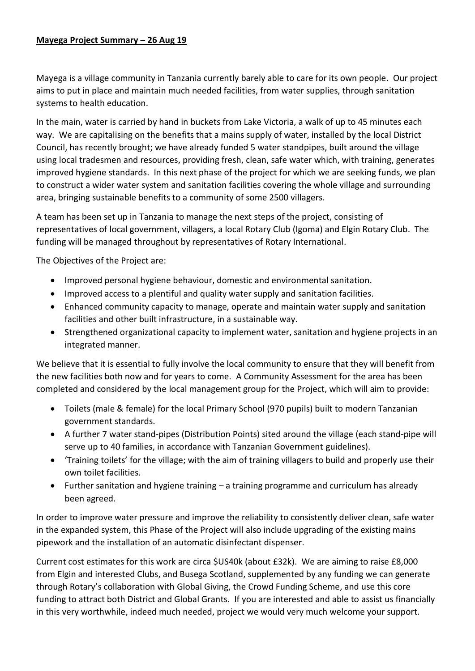Mayega is a village community in Tanzania currently barely able to care for its own people. Our project aims to put in place and maintain much needed facilities, from water supplies, through sanitation systems to health education.

In the main, water is carried by hand in buckets from Lake Victoria, a walk of up to 45 minutes each way. We are capitalising on the benefits that a mains supply of water, installed by the local District Council, has recently brought; we have already funded 5 water standpipes, built around the village using local tradesmen and resources, providing fresh, clean, safe water which, with training, generates improved hygiene standards. In this next phase of the project for which we are seeking funds, we plan to construct a wider water system and sanitation facilities covering the whole village and surrounding area, bringing sustainable benefits to a community of some 2500 villagers.

A team has been set up in Tanzania to manage the next steps of the project, consisting of representatives of local government, villagers, a local Rotary Club (Igoma) and Elgin Rotary Club. The funding will be managed throughout by representatives of Rotary International.

The Objectives of the Project are:

- Improved personal hygiene behaviour, domestic and environmental sanitation.
- Improved access to a plentiful and quality water supply and sanitation facilities.
- Enhanced community capacity to manage, operate and maintain water supply and sanitation facilities and other built infrastructure, in a sustainable way.
- Strengthened organizational capacity to implement water, sanitation and hygiene projects in an integrated manner.

We believe that it is essential to fully involve the local community to ensure that they will benefit from the new facilities both now and for years to come. A Community Assessment for the area has been completed and considered by the local management group for the Project, which will aim to provide:

- Toilets (male & female) for the local Primary School (970 pupils) built to modern Tanzanian government standards.
- A further 7 water stand-pipes (Distribution Points) sited around the village (each stand-pipe will serve up to 40 families, in accordance with Tanzanian Government guidelines).
- 'Training toilets' for the village; with the aim of training villagers to build and properly use their own toilet facilities.
- Further sanitation and hygiene training a training programme and curriculum has already been agreed.

In order to improve water pressure and improve the reliability to consistently deliver clean, safe water in the expanded system, this Phase of the Project will also include upgrading of the existing mains pipework and the installation of an automatic disinfectant dispenser.

Current cost estimates for this work are circa \$US40k (about £32k). We are aiming to raise £8,000 from Elgin and interested Clubs, and Busega Scotland, supplemented by any funding we can generate through Rotary's collaboration with Global Giving, the Crowd Funding Scheme, and use this core funding to attract both District and Global Grants. If you are interested and able to assist us financially in this very worthwhile, indeed much needed, project we would very much welcome your support.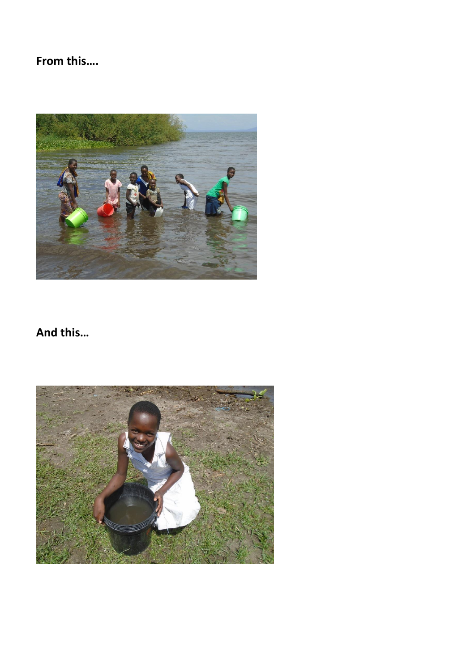## From this....



## And this...